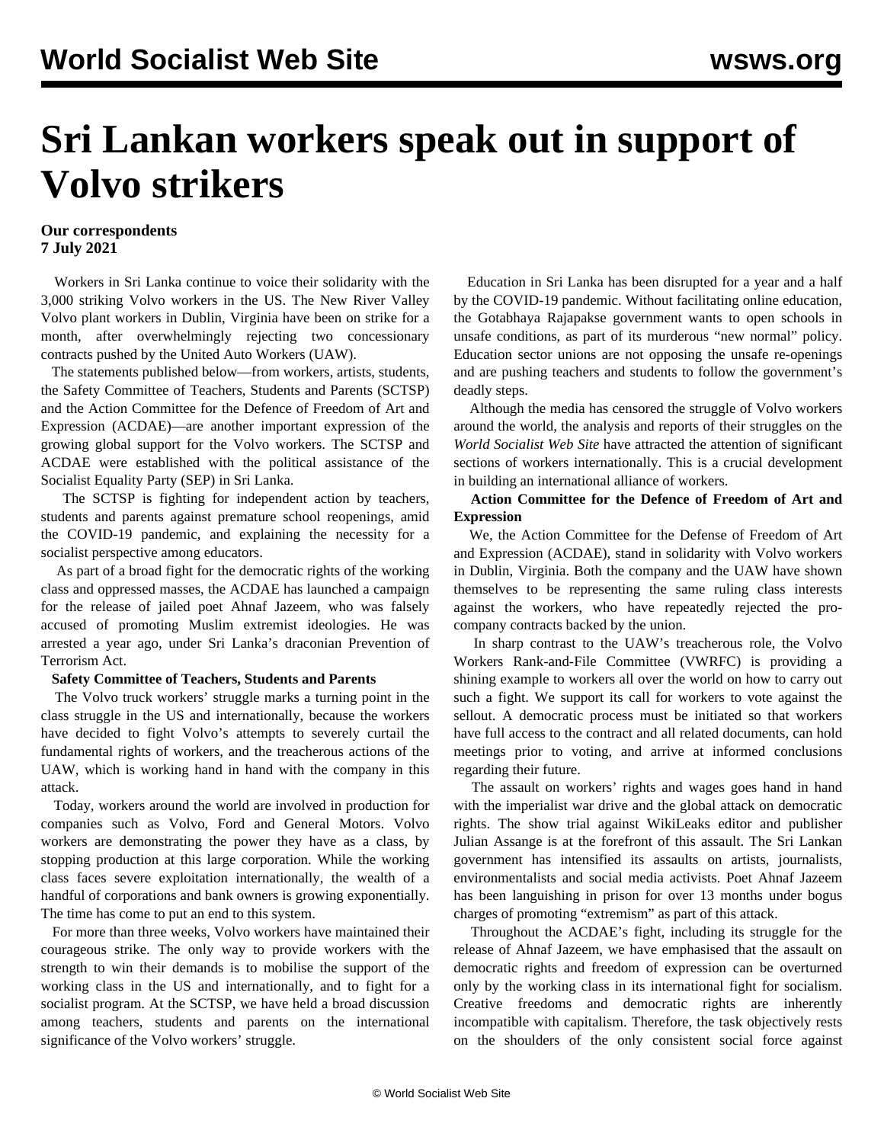# **Sri Lankan workers speak out in support of Volvo strikers**

# **Our correspondents 7 July 2021**

 Workers in Sri Lanka continue to voice their solidarity with the 3,000 striking Volvo workers in the US. The New River Valley Volvo plant workers in Dublin, Virginia have been on strike for a month, after overwhelmingly rejecting two concessionary contracts pushed by the United Auto Workers (UAW).

 The statements published below—from workers, artists, students, the Safety Committee of Teachers, Students and Parents (SCTSP) and the Action Committee for the Defence of Freedom of Art and Expression (ACDAE)—are another important expression of the growing global support for the Volvo workers. The SCTSP and ACDAE were established with the political assistance of the Socialist Equality Party (SEP) in Sri Lanka.

 The SCTSP is fighting for independent action by teachers, students and parents against premature school reopenings, amid the COVID-19 pandemic, and explaining the necessity for a socialist perspective among educators.

 As part of a broad fight for the democratic rights of the working class and oppressed masses, the ACDAE has launched a campaign for the release of jailed poet Ahnaf Jazeem, who was falsely accused of promoting Muslim extremist ideologies. He was arrested a year ago, under Sri Lanka's draconian Prevention of Terrorism Act.

#### **Safety Committee of Teachers, Students and Parents**

 The Volvo truck workers' struggle marks a turning point in the class struggle in the US and internationally, because the workers have decided to fight Volvo's attempts to severely curtail the fundamental rights of workers, and the treacherous actions of the UAW, which is working hand in hand with the company in this attack.

 Today, workers around the world are involved in production for companies such as Volvo, Ford and General Motors. Volvo workers are demonstrating the power they have as a class, by stopping production at this large corporation. While the working class faces severe exploitation internationally, the wealth of a handful of corporations and bank owners is growing exponentially. The time has come to put an end to this system.

 For more than three weeks, Volvo workers have maintained their courageous strike. The only way to provide workers with the strength to win their demands is to mobilise the support of the working class in the US and internationally, and to fight for a socialist program. At the SCTSP, we have held a broad discussion among teachers, students and parents on the international significance of the Volvo workers' struggle.

 Education in Sri Lanka has been disrupted for a year and a half by the COVID-19 pandemic. Without facilitating online education, the Gotabhaya Rajapakse government wants to open schools in unsafe conditions, as part of its murderous "new normal" policy. Education sector unions are not opposing the unsafe re-openings and are pushing teachers and students to follow the government's deadly steps.

 Although the media has censored the struggle of Volvo workers around the world, the analysis and reports of their struggles on the *World Socialist Web Site* have attracted the attention of significant sections of workers internationally. This is a crucial development in building an international alliance of workers.

## **Action Committee for the Defence of Freedom of Art and Expression**

 We, the Action Committee for the Defense of Freedom of Art and Expression (ACDAE), stand in solidarity with Volvo workers in Dublin, Virginia. Both the company and the UAW have shown themselves to be representing the same ruling class interests against the workers, who have repeatedly rejected the procompany contracts backed by the union.

 In sharp contrast to the UAW's treacherous role, the Volvo Workers Rank-and-File Committee (VWRFC) is providing a shining example to workers all over the world on how to carry out such a fight. We support its call for workers to vote against the sellout. A democratic process must be initiated so that workers have full access to the contract and all related documents, can hold meetings prior to voting, and arrive at informed conclusions regarding their future.

 The assault on workers' rights and wages goes hand in hand with the imperialist war drive and the global attack on democratic rights. The show trial against WikiLeaks editor and publisher Julian Assange is at the forefront of this assault. The Sri Lankan government has intensified its assaults on artists, journalists, environmentalists and social media activists. Poet Ahnaf Jazeem has been languishing in prison for over 13 months under bogus charges of promoting "extremism" as part of this attack.

 Throughout the ACDAE's fight, including its struggle for the release of Ahnaf Jazeem, we have emphasised that the assault on democratic rights and freedom of expression can be overturned only by the working class in its international fight for socialism. Creative freedoms and democratic rights are inherently incompatible with capitalism. Therefore, the task objectively rests on the shoulders of the only consistent social force against